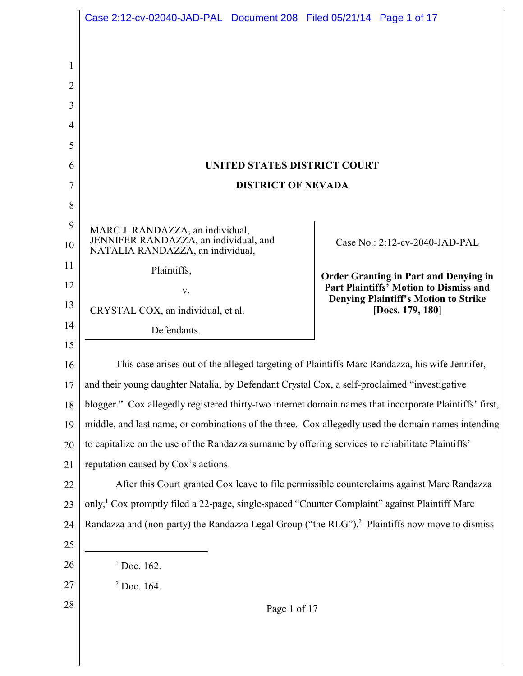|                | Case 2:12-cv-02040-JAD-PAL Document 208 Filed 05/21/14 Page 1 of 17                                                               |                                                                                       |  |
|----------------|-----------------------------------------------------------------------------------------------------------------------------------|---------------------------------------------------------------------------------------|--|
|                |                                                                                                                                   |                                                                                       |  |
| 1              |                                                                                                                                   |                                                                                       |  |
| $\overline{2}$ |                                                                                                                                   |                                                                                       |  |
| 3              |                                                                                                                                   |                                                                                       |  |
| 4              |                                                                                                                                   |                                                                                       |  |
| 5              |                                                                                                                                   |                                                                                       |  |
| 6              | UNITED STATES DISTRICT COURT                                                                                                      |                                                                                       |  |
| 7              | <b>DISTRICT OF NEVADA</b>                                                                                                         |                                                                                       |  |
| 8              |                                                                                                                                   |                                                                                       |  |
| 9              | MARC J. RANDAZZA, an individual,                                                                                                  |                                                                                       |  |
| 10             | JENNIFER RANDAZZA, an individual, and<br>NATALIA RANDAZZA, an individual,                                                         | Case No.: 2:12-cv-2040-JAD-PAL                                                        |  |
| 11             | Plaintiffs,                                                                                                                       | <b>Order Granting in Part and Denying in</b>                                          |  |
| 12             | V.                                                                                                                                | Part Plaintiffs' Motion to Dismiss and<br><b>Denying Plaintiff's Motion to Strike</b> |  |
| 13             | CRYSTAL COX, an individual, et al.                                                                                                | [Docs. 179, 180]                                                                      |  |
| 14             | Defendants.                                                                                                                       |                                                                                       |  |
| 15             |                                                                                                                                   |                                                                                       |  |
| 16             | This case arises out of the alleged targeting of Plaintiffs Marc Randazza, his wife Jennifer,                                     |                                                                                       |  |
| 17             | and their young daughter Natalia, by Defendant Crystal Cox, a self-proclaimed "investigative                                      |                                                                                       |  |
| 18             | blogger." Cox allegedly registered thirty-two internet domain names that incorporate Plaintiffs' first,                           |                                                                                       |  |
| 19             | middle, and last name, or combinations of the three. Cox allegedly used the domain names intending                                |                                                                                       |  |
| 20<br>21       | to capitalize on the use of the Randazza surname by offering services to rehabilitate Plaintiffs'                                 |                                                                                       |  |
| 22             | reputation caused by Cox's actions.<br>After this Court granted Cox leave to file permissible counterclaims against Marc Randazza |                                                                                       |  |
| 23             | only, <sup>1</sup> Cox promptly filed a 22-page, single-spaced "Counter Complaint" against Plaintiff Marc                         |                                                                                       |  |
| 24             | Randazza and (non-party) the Randazza Legal Group ("the RLG"). <sup>2</sup> Plaintiffs now move to dismiss                        |                                                                                       |  |
| 25             |                                                                                                                                   |                                                                                       |  |
| 26             | $1$ Doc. 162.                                                                                                                     |                                                                                       |  |
| 27             | $2$ Doc. 164.                                                                                                                     |                                                                                       |  |
| 28             | Page 1 of 17                                                                                                                      |                                                                                       |  |
|                |                                                                                                                                   |                                                                                       |  |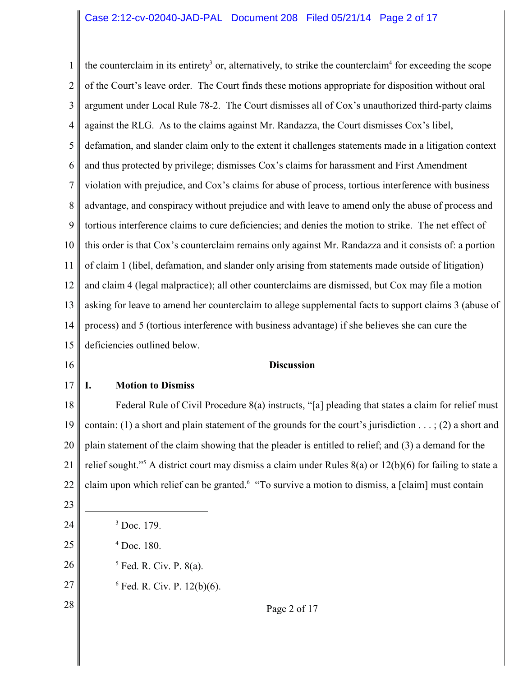1 2 3 4 5 6 7 8 9 10 11 12 13 14 15 16 the counterclaim in its entirety<sup>3</sup> or, alternatively, to strike the counterclaim<sup>4</sup> for exceeding the scope of the Court's leave order. The Court finds these motions appropriate for disposition without oral argument under Local Rule 78-2. The Court dismisses all of Cox's unauthorized third-party claims against the RLG. As to the claims against Mr. Randazza, the Court dismisses Cox's libel, defamation, and slander claim only to the extent it challenges statements made in a litigation context and thus protected by privilege; dismisses Cox's claims for harassment and First Amendment violation with prejudice, and Cox's claims for abuse of process, tortious interference with business advantage, and conspiracy without prejudice and with leave to amend only the abuse of process and tortious interference claims to cure deficiencies; and denies the motion to strike. The net effect of this order is that Cox's counterclaim remains only against Mr. Randazza and it consists of: a portion of claim 1 (libel, defamation, and slander only arising from statements made outside of litigation) and claim 4 (legal malpractice); all other counterclaims are dismissed, but Cox may file a motion asking for leave to amend her counterclaim to allege supplemental facts to support claims 3 (abuse of process) and 5 (tortious interference with business advantage) if she believes she can cure the deficiencies outlined below.

#### **Discussion**

#### 17 **I. Motion to Dismiss**

18 19 20 21 22 Federal Rule of Civil Procedure 8(a) instructs, "[a] pleading that states a claim for relief must contain: (1) a short and plain statement of the grounds for the court's jurisdiction . . . ; (2) a short and plain statement of the claim showing that the pleader is entitled to relief; and (3) a demand for the relief sought."<sup>5</sup> A district court may dismiss a claim under Rules  $8(a)$  or  $12(b)(6)$  for failing to state a claim upon which relief can be granted. "To survive a motion to dismiss, a [claim] must contain

23 24

25

28

- $3$  Doc. 179.
- $4$  Doc. 180.
- 26  $<sup>5</sup>$  Fed. R. Civ. P. 8(a).</sup>
- 27  $6$  Fed. R. Civ. P. 12(b)(6).

# Page 2 of 17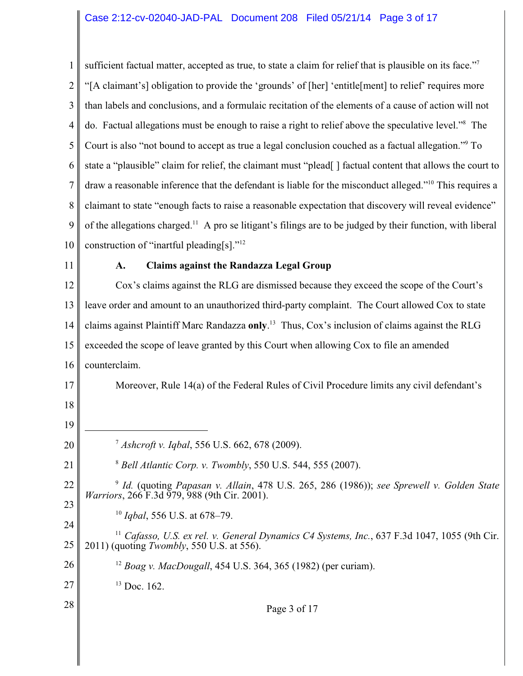1 2 3 4 5 6 7 8 9 10 sufficient factual matter, accepted as true, to state a claim for relief that is plausible on its face."<sup>7</sup> "[A claimant's] obligation to provide the 'grounds' of [her] 'entitle[ment] to relief' requires more than labels and conclusions, and a formulaic recitation of the elements of a cause of action will not do. Factual allegations must be enough to raise a right to relief above the speculative level."<sup>8</sup> The Court is also "not bound to accept as true a legal conclusion couched as a factual allegation."<sup>9</sup> To state a "plausible" claim for relief, the claimant must "plead[] factual content that allows the court to draw a reasonable inference that the defendant is liable for the misconduct alleged."<sup>10</sup> This requires a claimant to state "enough facts to raise a reasonable expectation that discovery will reveal evidence" of the allegations charged.<sup>11</sup> A pro se litigant's filings are to be judged by their function, with liberal construction of "inartful pleading[s]."12

11

## **A. Claims against the Randazza Legal Group**

12 13 14 15 16 17 Cox's claims against the RLG are dismissed because they exceed the scope of the Court's leave order and amount to an unauthorized third-party complaint. The Court allowed Cox to state claims against Plaintiff Marc Randazza **only**.<sup>13</sup> Thus, Cox's inclusion of claims against the RLG exceeded the scope of leave granted by this Court when allowing Cox to file an amended counterclaim. Moreover, Rule 14(a) of the Federal Rules of Civil Procedure limits any civil defendant's

- 18
- 19

21

24

28

20

<sup>7</sup> Ashcroft v. Iqbal, 556 U.S. 662, 678 (2009).

- <sup>8</sup> Bell Atlantic Corp. v. Twombly, 550 U.S. 544, 555 (2007).
- 22 23  *Id.* (quoting *Papasan v. Allain*, 478 U.S. 265, 286 (1986)); *see Sprewell v. Golden State* <sup>9</sup> *Warriors*, 266 F.3d 979, 988 (9th Cir. 2001).
	- <sup>10</sup> *Igbal*, 556 U.S. at 678–79.
- 25 <sup>11</sup> Cafasso, U.S. ex rel. v. General Dynamics C4 Systems, Inc., 637 F.3d 1047, 1055 (9th Cir. 2011) (quoting *Twombly*, 550 U.S. at 556).
- 26 <sup>12</sup> Boag v. MacDougall, 454 U.S. 364, 365 (1982) (per curiam).
- 27  $13$  Doc. 162.

Page 3 of 17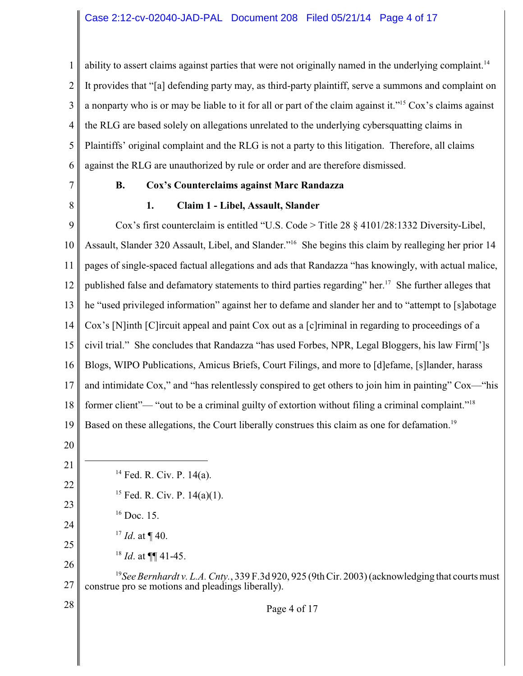1 2 3 4 5 6 ability to assert claims against parties that were not originally named in the underlying complaint. 14 It provides that "[a] defending party may, as third-party plaintiff, serve a summons and complaint on a nonparty who is or may be liable to it for all or part of the claim against it."<sup>15</sup> Cox's claims against the RLG are based solely on allegations unrelated to the underlying cybersquatting claims in Plaintiffs' original complaint and the RLG is not a party to this litigation. Therefore, all claims against the RLG are unauthorized by rule or order and are therefore dismissed.

7

8

## **B. Cox's Counterclaims against Marc Randazza**

#### **1. Claim 1 - Libel, Assault, Slander**

9 10 11 12 13 14 15 16 17 18 19 Cox's first counterclaim is entitled "U.S. Code > Title 28 § 4101/28:1332 Diversity-Libel, Assault, Slander 320 Assault, Libel, and Slander."<sup>16</sup> She begins this claim by realleging her prior 14 pages of single-spaced factual allegations and ads that Randazza "has knowingly, with actual malice, published false and defamatory statements to third parties regarding" her.<sup>17</sup> She further alleges that he "used privileged information" against her to defame and slander her and to "attempt to [s]abotage Cox's [N]inth [C]ircuit appeal and paint Cox out as a [c]riminal in regarding to proceedings of a civil trial." She concludes that Randazza "has used Forbes, NPR, Legal Bloggers, his law Firm[']s Blogs, WIPO Publications, Amicus Briefs, Court Filings, and more to [d]efame, [s]lander, harass and intimidate Cox," and "has relentlessly conspired to get others to join him in painting" Cox—"his former client"— "out to be a criminal guilty of extortion without filing a criminal complaint."<sup>18</sup> Based on these allegations, the Court liberally construes this claim as one for defamation.<sup>19</sup>

20

21

22

23

24

28

- $14$  Fed. R. Civ. P. 14(a).
	- $15$  Fed. R. Civ. P.  $14(a)(1)$ .
	- $16$  Doc. 15.
- $^{17}$  *Id.* at ¶ 40.
- 25 26  $^{18}$  *Id.* at  $\P\P$  41-45.

27 <sup>19</sup> See Bernhardt v. L.A. Cnty., 339 F.3d 920, 925 (9th Cir. 2003) (acknowledging that courts must construe pro se motions and pleadings liberally).

Page 4 of 17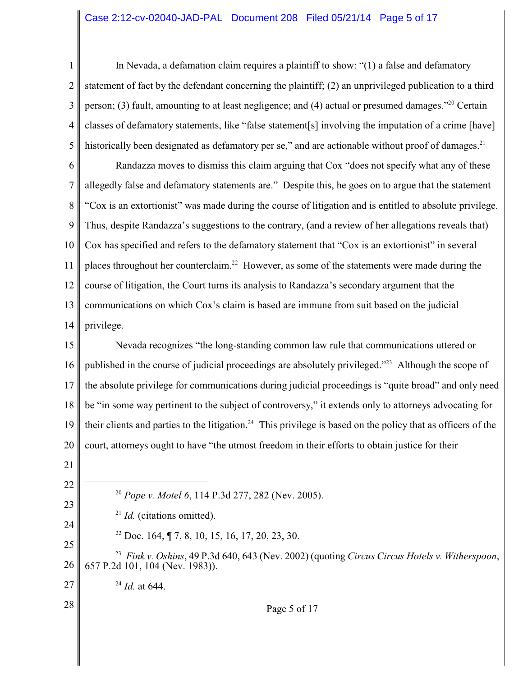## Case 2:12-cv-02040-JAD-PAL Document 208 Filed 05/21/14 Page 5 of 17

1 2 3 4 5 In Nevada, a defamation claim requires a plaintiff to show: "(1) a false and defamatory statement of fact by the defendant concerning the plaintiff; (2) an unprivileged publication to a third person; (3) fault, amounting to at least negligence; and (4) actual or presumed damages."<sup>20</sup> Certain classes of defamatory statements, like "false statement[s] involving the imputation of a crime [have] historically been designated as defamatory per se," and are actionable without proof of damages. $21$ 

6 7 8 9 10 11 12 13 14 Randazza moves to dismiss this claim arguing that Cox "does not specify what any of these allegedly false and defamatory statements are." Despite this, he goes on to argue that the statement "Cox is an extortionist" was made during the course of litigation and is entitled to absolute privilege. Thus, despite Randazza's suggestions to the contrary, (and a review of her allegations reveals that) Cox has specified and refers to the defamatory statement that "Cox is an extortionist" in several places throughout her counterclaim.<sup>22</sup> However, as some of the statements were made during the course of litigation, the Court turns its analysis to Randazza's secondary argument that the communications on which Cox's claim is based are immune from suit based on the judicial privilege.

15 16 17 18 19 20 Nevada recognizes "the long-standing common law rule that communications uttered or published in the course of judicial proceedings are absolutely privileged."<sup>23</sup> Although the scope of the absolute privilege for communications during judicial proceedings is "quite broad" and only need be "in some way pertinent to the subject of controversy," it extends only to attorneys advocating for their clients and parties to the litigation.<sup>24</sup> This privilege is based on the policy that as officers of the court, attorneys ought to have "the utmost freedom in their efforts to obtain justice for their

21

22

23

| 24 |
|----|
| 25 |

<sup>20</sup> Pope v. Motel 6, 114 P.3d 277, 282 (Nev. 2005).

 $21$  *Id.* (citations omitted).

<sup>22</sup> Doc. 164,  $\sqrt{7}$ , 8, 10, 15, 16, 17, 20, 23, 30.

26 *Fink v. Oshins*, 49 P.3d 640, 643 (Nev. 2002) (quoting *Circus Circus Hotels v. Witherspoon*, <sup>23</sup> 657 P.2d 101, 104 (Nev. 1983)).

 $^{24}$  *Id.* at 644.

# 28

27

Page 5 of 17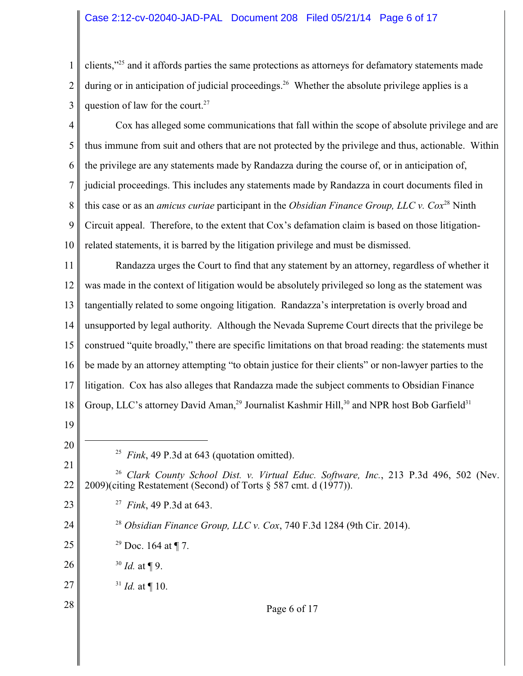## Case 2:12-cv-02040-JAD-PAL Document 208 Filed 05/21/14 Page 6 of 17

1 2 3 clients,"<sup>25</sup> and it affords parties the same protections as attorneys for defamatory statements made during or in anticipation of judicial proceedings.<sup>26</sup> Whether the absolute privilege applies is a question of law for the court.<sup>27</sup>

4 5 6 7 8 9 10 Cox has alleged some communications that fall within the scope of absolute privilege and are thus immune from suit and others that are not protected by the privilege and thus, actionable. Within the privilege are any statements made by Randazza during the course of, or in anticipation of, judicial proceedings. This includes any statements made by Randazza in court documents filed in this case or as an *amicus curiae* participant in the *Obsidian Finance Group, LLC v. Cox*<sup>28</sup> Ninth Circuit appeal. Therefore, to the extent that Cox's defamation claim is based on those litigationrelated statements, it is barred by the litigation privilege and must be dismissed.

11 12 13 14 15 16 17 18 Randazza urges the Court to find that any statement by an attorney, regardless of whether it was made in the context of litigation would be absolutely privileged so long as the statement was tangentially related to some ongoing litigation. Randazza's interpretation is overly broad and unsupported by legal authority. Although the Nevada Supreme Court directs that the privilege be construed "quite broadly," there are specific limitations on that broad reading: the statements must be made by an attorney attempting "to obtain justice for their clients" or non-lawyer parties to the litigation. Cox has also alleges that Randazza made the subject comments to Obsidian Finance Group, LLC's attorney David Aman,<sup>29</sup> Journalist Kashmir Hill,<sup>30</sup> and NPR host Bob Garfield<sup>31</sup>

- 19
- 20

23

24

28

<sup>25</sup> *Fink*, 49 P.3d at 643 (quotation omitted).

21 22 <sup>26</sup> Clark County School Dist. v. Virtual Educ. Software, Inc., 213 P.3d 496, 502 (Nev. 2009)(citing Restatement (Second) of Torts  $\S$  587 cmt. d (1977)).

- *Fink*, 49 P.3d at 643. <sup>27</sup>
- <sup>28</sup> Obsidian Finance Group, LLC v. Cox, 740 F.3d 1284 (9th Cir. 2014).
- 25 <sup>29</sup> Doc. 164 at  $\P$  7.
- 26  $^{30}$  *Id.* at ¶ 9.
- 27  $^{31}$  *Id.* at ¶ 10.

Page 6 of 17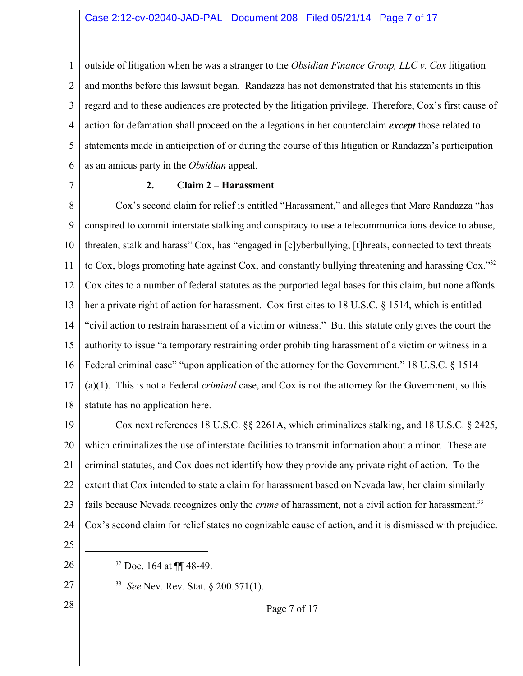1 2 3 4 5 6 outside of litigation when he was a stranger to the *Obsidian Finance Group, LLC v. Cox* litigation and months before this lawsuit began. Randazza has not demonstrated that his statements in this regard and to these audiences are protected by the litigation privilege. Therefore, Cox's first cause of action for defamation shall proceed on the allegations in her counterclaim *except* those related to statements made in anticipation of or during the course of this litigation or Randazza's participation as an amicus party in the *Obsidian* appeal.

7

# **2. Claim 2 – Harassment**

8 9 10 11 12 13 14 15 16 17 18 Cox's second claim for relief is entitled "Harassment," and alleges that Marc Randazza "has conspired to commit interstate stalking and conspiracy to use a telecommunications device to abuse, threaten, stalk and harass" Cox, has "engaged in [c]yberbullying, [t]hreats, connected to text threats to Cox, blogs promoting hate against Cox, and constantly bullying threatening and harassing Cox."<sup>32</sup> Cox cites to a number of federal statutes as the purported legal bases for this claim, but none affords her a private right of action for harassment. Cox first cites to 18 U.S.C. § 1514, which is entitled "civil action to restrain harassment of a victim or witness." But this statute only gives the court the authority to issue "a temporary restraining order prohibiting harassment of a victim or witness in a Federal criminal case" "upon application of the attorney for the Government." 18 U.S.C. § 1514 (a)(1). This is not a Federal *criminal* case, and Cox is not the attorney for the Government, so this statute has no application here.

19 20 21 22 23 24 Cox next references 18 U.S.C. §§ 2261A, which criminalizes stalking, and 18 U.S.C. § 2425, which criminalizes the use of interstate facilities to transmit information about a minor. These are criminal statutes, and Cox does not identify how they provide any private right of action. To the extent that Cox intended to state a claim for harassment based on Nevada law, her claim similarly fails because Nevada recognizes only the *crime* of harassment, not a civil action for harassment.<sup>33</sup> Cox's second claim for relief states no cognizable cause of action, and it is dismissed with prejudice.

25

26

<sup>32</sup> Doc. 164 at ¶¶ 48-49.

27 28 <sup>33</sup> *See* Nev. Rev. Stat. § 200.571(1).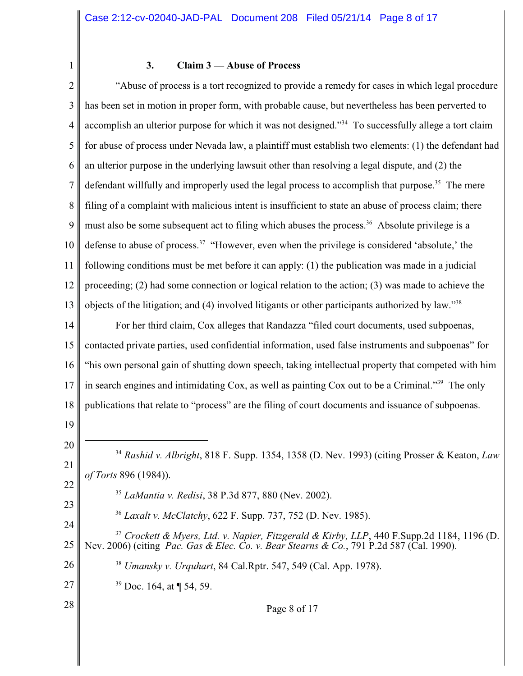1

## **3. Claim 3 — Abuse of Process**

2 3 4 5 6 7 8 9 10 11 12 13 14 15 16 "Abuse of process is a tort recognized to provide a remedy for cases in which legal procedure has been set in motion in proper form, with probable cause, but nevertheless has been perverted to accomplish an ulterior purpose for which it was not designed."<sup>34</sup> To successfully allege a tort claim for abuse of process under Nevada law, a plaintiff must establish two elements: (1) the defendant had an ulterior purpose in the underlying lawsuit other than resolving a legal dispute, and (2) the defendant willfully and improperly used the legal process to accomplish that purpose.<sup>35</sup> The mere filing of a complaint with malicious intent is insufficient to state an abuse of process claim; there must also be some subsequent act to filing which abuses the process.<sup>36</sup> Absolute privilege is a defense to abuse of process.<sup>37</sup> "However, even when the privilege is considered 'absolute,' the following conditions must be met before it can apply: (1) the publication was made in a judicial proceeding; (2) had some connection or logical relation to the action; (3) was made to achieve the objects of the litigation; and (4) involved litigants or other participants authorized by law."38 For her third claim, Cox alleges that Randazza "filed court documents, used subpoenas, contacted private parties, used confidential information, used false instruments and subpoenas" for "his own personal gain of shutting down speech, taking intellectual property that competed with him

17 in search engines and intimidating Cox, as well as painting Cox out to be a Criminal."<sup>39</sup> The only

18 publications that relate to "process" are the filing of court documents and issuance of subpoenas.

19

28

20 21 22 23 24 *Rashid v. Albright*, 818 F. Supp. 1354, 1358 (D. Nev. 1993) (citing Prosser & Keaton, *Law* <sup>34</sup> *of Torts* 896 (1984)). <sup>35</sup> LaMantia v. Redisi, 38 P.3d 877, 880 (Nev. 2002). *Laxalt v. McClatchy*, 622 F. Supp. 737, 752 (D. Nev. 1985). <sup>36</sup>

25  $^{37}$  Crockett & Myers, Ltd. v. Napier, Fitzgerald & Kirby, LLP, 440 F. Supp. 2d 1184, 1196 (D. Nev. 2006) (citing *Pac. Gas & Elec. Co. v. Bear Stearns & Co.*, 791 P.2d 587 (Cal. 1990).

26 <sup>38</sup> Umansky v. Urquhart, 84 Cal.Rptr. 547, 549 (Cal. App. 1978).

27  $39$  Doc. 164, at  $\P$  54, 59.

Page 8 of 17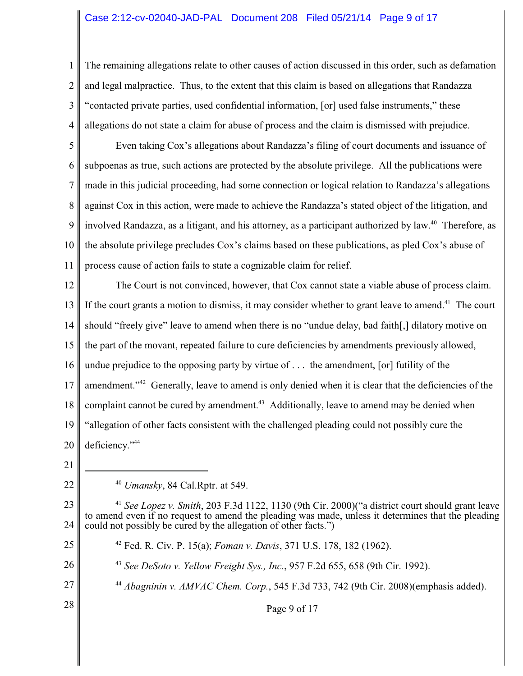# Case 2:12-cv-02040-JAD-PAL Document 208 Filed 05/21/14 Page 9 of 17

2 3 4 The remaining allegations relate to other causes of action discussed in this order, such as defamation and legal malpractice. Thus, to the extent that this claim is based on allegations that Randazza "contacted private parties, used confidential information, [or] used false instruments," these allegations do not state a claim for abuse of process and the claim is dismissed with prejudice.

5 6 7 8 9 10 11 Even taking Cox's allegations about Randazza's filing of court documents and issuance of subpoenas as true, such actions are protected by the absolute privilege. All the publications were made in this judicial proceeding, had some connection or logical relation to Randazza's allegations against Cox in this action, were made to achieve the Randazza's stated object of the litigation, and involved Randazza, as a litigant, and his attorney, as a participant authorized by law.<sup>40</sup> Therefore, as the absolute privilege precludes Cox's claims based on these publications, as pled Cox's abuse of process cause of action fails to state a cognizable claim for relief.

12 13 14 15 16 17 18 19 20 The Court is not convinced, however, that Cox cannot state a viable abuse of process claim. If the court grants a motion to dismiss, it may consider whether to grant leave to amend.<sup> $41$ </sup> The court should "freely give" leave to amend when there is no "undue delay, bad faith[,] dilatory motive on the part of the movant, repeated failure to cure deficiencies by amendments previously allowed, undue prejudice to the opposing party by virtue of . . . the amendment, [or] futility of the amendment."<sup>42</sup> Generally, leave to amend is only denied when it is clear that the deficiencies of the complaint cannot be cured by amendment.<sup>43</sup> Additionally, leave to amend may be denied when "allegation of other facts consistent with the challenged pleading could not possibly cure the deficiency." <sup>44</sup>

21

22

26

27

28

1

<sup>40</sup> *Umansky*, 84 Cal.Rptr. at 549.

23 24 <sup>41</sup> See Lopez v. Smith, 203 F.3d 1122, 1130 (9th Cir. 2000)("a district court should grant leave to amend even if no request to amend the pleading was made, unless it determines that the pleading could not possibly be cured by the allegation of other facts.")

25 Fed. R. Civ. P. 15(a); *Foman v. Davis*, 371 U.S. 178, 182 (1962). 42

<sup>43</sup> See DeSoto v. Yellow Freight Sys., Inc., 957 F.2d 655, 658 (9th Cir. 1992).

<sup>44</sup> Abagninin v. AMVAC Chem. Corp., 545 F.3d 733, 742 (9th Cir. 2008)(emphasis added).

Page 9 of 17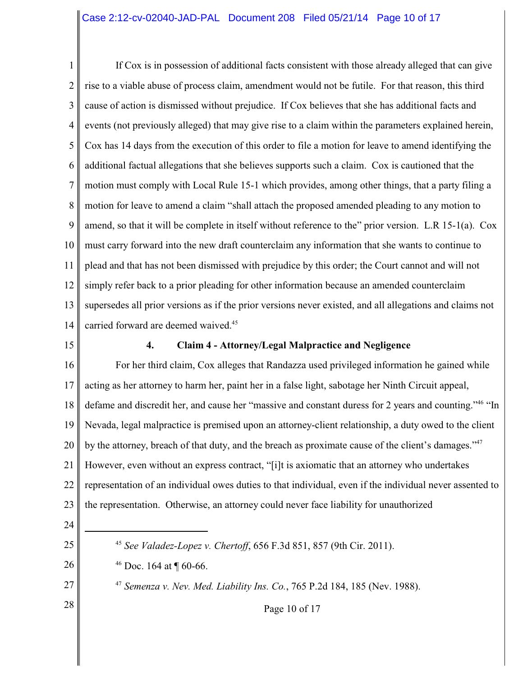1 2 3 4 5 6 7 8 9 10 11 12 13 14 If Cox is in possession of additional facts consistent with those already alleged that can give rise to a viable abuse of process claim, amendment would not be futile. For that reason, this third cause of action is dismissed without prejudice. If Cox believes that she has additional facts and events (not previously alleged) that may give rise to a claim within the parameters explained herein, Cox has 14 days from the execution of this order to file a motion for leave to amend identifying the additional factual allegations that she believes supports such a claim. Cox is cautioned that the motion must comply with Local Rule 15-1 which provides, among other things, that a party filing a motion for leave to amend a claim "shall attach the proposed amended pleading to any motion to amend, so that it will be complete in itself without reference to the" prior version. L.R 15-1(a). Cox must carry forward into the new draft counterclaim any information that she wants to continue to plead and that has not been dismissed with prejudice by this order; the Court cannot and will not simply refer back to a prior pleading for other information because an amended counterclaim supersedes all prior versions as if the prior versions never existed, and all allegations and claims not carried forward are deemed waived.<sup>45</sup>

15

## **4. Claim 4 - Attorney/Legal Malpractice and Negligence**

16 17 18 19 20 21 22 23 For her third claim, Cox alleges that Randazza used privileged information he gained while acting as her attorney to harm her, paint her in a false light, sabotage her Ninth Circuit appeal, defame and discredit her, and cause her "massive and constant duress for 2 years and counting."<sup>46</sup> "In Nevada, legal malpractice is premised upon an attorney-client relationship, a duty owed to the client by the attorney, breach of that duty, and the breach as proximate cause of the client's damages."<sup>47</sup> However, even without an express contract, "[i]t is axiomatic that an attorney who undertakes representation of an individual owes duties to that individual, even if the individual never assented to the representation. Otherwise, an attorney could never face liability for unauthorized

24

25

26

27

28

*See Valadez-Lopez v. Chertoff*, 656 F.3d 851, 857 (9th Cir. 2011). <sup>45</sup>

<sup>46</sup> Doc. 164 at  $\P$  60-66.

*Semenza v. Nev. Med. Liability Ins. Co.*, 765 P.2d 184, 185 (Nev. 1988). 47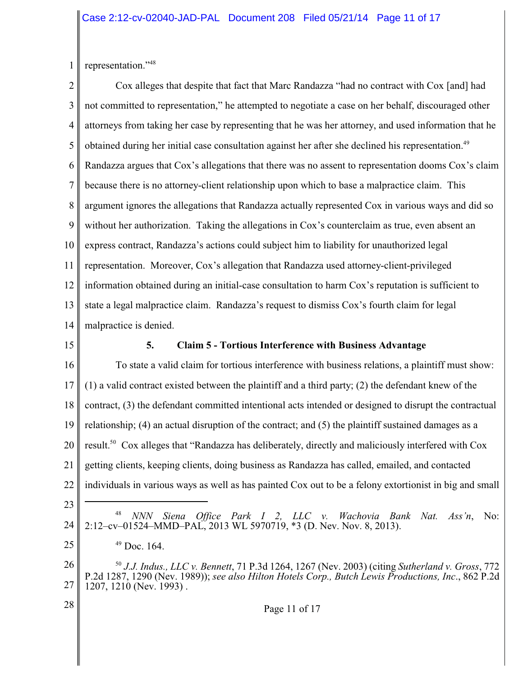1 representation."48

2 3 4 5 6 7 8 9 10 11 12 13 14 Cox alleges that despite that fact that Marc Randazza "had no contract with Cox [and] had not committed to representation," he attempted to negotiate a case on her behalf, discouraged other attorneys from taking her case by representing that he was her attorney, and used information that he obtained during her initial case consultation against her after she declined his representation.<sup>49</sup> Randazza argues that Cox's allegations that there was no assent to representation dooms Cox's claim because there is no attorney-client relationship upon which to base a malpractice claim. This argument ignores the allegations that Randazza actually represented Cox in various ways and did so without her authorization. Taking the allegations in Cox's counterclaim as true, even absent an express contract, Randazza's actions could subject him to liability for unauthorized legal representation. Moreover, Cox's allegation that Randazza used attorney-client-privileged information obtained during an initial-case consultation to harm Cox's reputation is sufficient to state a legal malpractice claim. Randazza's request to dismiss Cox's fourth claim for legal malpractice is denied.

15

## **5. Claim 5 - Tortious Interference with Business Advantage**

16 17 18 19 20 21 22 To state a valid claim for tortious interference with business relations, a plaintiff must show: (1) a valid contract existed between the plaintiff and a third party; (2) the defendant knew of the contract, (3) the defendant committed intentional acts intended or designed to disrupt the contractual relationship; (4) an actual disruption of the contract; and (5) the plaintiff sustained damages as a result.<sup>50</sup> Cox alleges that "Randazza has deliberately, directly and maliciously interfered with Cox getting clients, keeping clients, doing business as Randazza has called, emailed, and contacted individuals in various ways as well as has painted Cox out to be a felony extortionist in big and small

- 23
- 24

28

- *NNN Siena Office Park I 2, LLC v. Wachovia Bank Nat. Ass'n, No:* 2:12–cv–01524–MMD–PAL, 2013 WL 5970719, \*3 (D. Nev. Nov. 8, 2013).
- 25  $49$  Doc. 164.

26 27 <sup>50</sup> J.J. Indus., LLC v. Bennett, 71 P.3d 1264, 1267 (Nev. 2003) (citing *Sutherland v. Gross*, 772 P.2d 1287, 1290 (Nev. 1989)); *see also Hilton Hotels Corp., Butch Lewis Productions, Inc*., 862 P.2d 1207, 1210 (Nev. 1993) .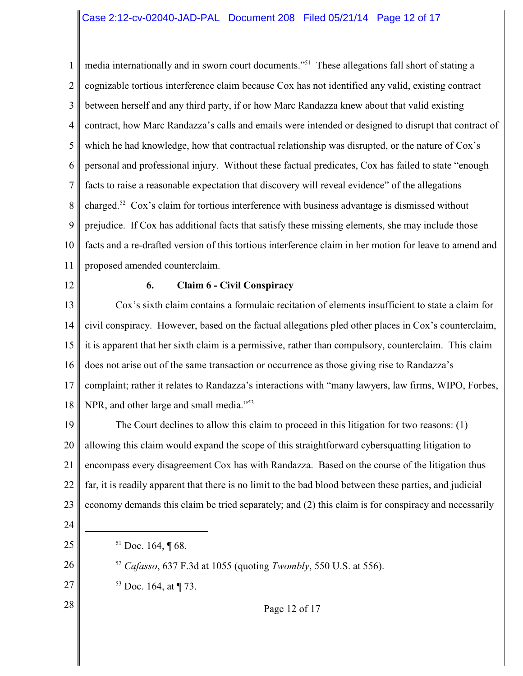1 2 3 4 5 6 7 8 9 10 11 media internationally and in sworn court documents."<sup>51</sup> These allegations fall short of stating a cognizable tortious interference claim because Cox has not identified any valid, existing contract between herself and any third party, if or how Marc Randazza knew about that valid existing contract, how Marc Randazza's calls and emails were intended or designed to disrupt that contract of which he had knowledge, how that contractual relationship was disrupted, or the nature of Cox's personal and professional injury. Without these factual predicates, Cox has failed to state "enough facts to raise a reasonable expectation that discovery will reveal evidence" of the allegations charged.<sup>52</sup> Cox's claim for tortious interference with business advantage is dismissed without prejudice. If Cox has additional facts that satisfy these missing elements, she may include those facts and a re-drafted version of this tortious interference claim in her motion for leave to amend and proposed amended counterclaim.

12

#### **6. Claim 6 - Civil Conspiracy**

13 14 15 16 17 18 Cox's sixth claim contains a formulaic recitation of elements insufficient to state a claim for civil conspiracy. However, based on the factual allegations pled other places in Cox's counterclaim, it is apparent that her sixth claim is a permissive, rather than compulsory, counterclaim. This claim does not arise out of the same transaction or occurrence as those giving rise to Randazza's complaint; rather it relates to Randazza's interactions with "many lawyers, law firms, WIPO, Forbes, NPR, and other large and small media."<sup>53</sup>

19 20 21 22 23 The Court declines to allow this claim to proceed in this litigation for two reasons: (1) allowing this claim would expand the scope of this straightforward cybersquatting litigation to encompass every disagreement Cox has with Randazza. Based on the course of the litigation thus far, it is readily apparent that there is no limit to the bad blood between these parties, and judicial economy demands this claim be tried separately; and (2) this claim is for conspiracy and necessarily

24

25

26

27

28

- $51$  Doc. 164, ¶ 68.
- <sup>52</sup> Cafasso, 637 F.3d at 1055 (quoting *Twombly*, 550 U.S. at 556).
- $53$  Doc. 164, at  $\P$  73.

Page 12 of 17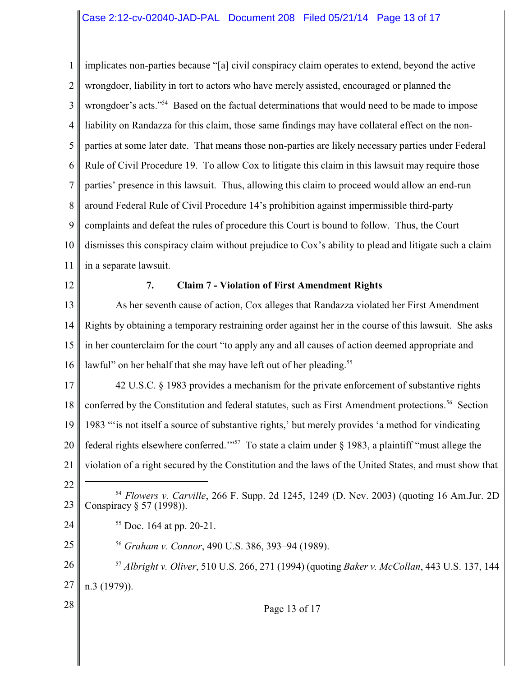1 2 3 4 5 6 7 8 9 10 11 implicates non-parties because "[a] civil conspiracy claim operates to extend, beyond the active wrongdoer, liability in tort to actors who have merely assisted, encouraged or planned the wrongdoer's acts."<sup>54</sup> Based on the factual determinations that would need to be made to impose liability on Randazza for this claim, those same findings may have collateral effect on the nonparties at some later date. That means those non-parties are likely necessary parties under Federal Rule of Civil Procedure 19. To allow Cox to litigate this claim in this lawsuit may require those parties' presence in this lawsuit. Thus, allowing this claim to proceed would allow an end-run around Federal Rule of Civil Procedure 14's prohibition against impermissible third-party complaints and defeat the rules of procedure this Court is bound to follow. Thus, the Court dismisses this conspiracy claim without prejudice to Cox's ability to plead and litigate such a claim in a separate lawsuit.

12

#### **7. Claim 7 - Violation of First Amendment Rights**

13 14 15 16 As her seventh cause of action, Cox alleges that Randazza violated her First Amendment Rights by obtaining a temporary restraining order against her in the course of this lawsuit. She asks in her counterclaim for the court "to apply any and all causes of action deemed appropriate and lawful" on her behalf that she may have left out of her pleading.<sup>55</sup>

17 18 19 20 21 42 U.S.C. § 1983 provides a mechanism for the private enforcement of substantive rights conferred by the Constitution and federal statutes, such as First Amendment protections.<sup>56</sup> Section 1983 "'is not itself a source of substantive rights,' but merely provides 'a method for vindicating federal rights elsewhere conferred."<sup>57</sup> To state a claim under  $\S$  1983, a plaintiff "must allege the violation of a right secured by the Constitution and the laws of the United States, and must show that

22

23

24

25

28

<sup>54</sup> Flowers v. Carville, 266 F. Supp. 2d 1245, 1249 (D. Nev. 2003) (quoting 16 Am.Jur. 2D Conspiracy § 57 (1998)).

 $55$  Doc. 164 at pp. 20-21.

<sup>56</sup> Graham v. Connor, 490 U.S. 386, 393–94 (1989).

26 27 <sup>57</sup> Albright v. Oliver, 510 U.S. 266, 271 (1994) (quoting *Baker v. McCollan*, 443 U.S. 137, 144 n.3 (1979)).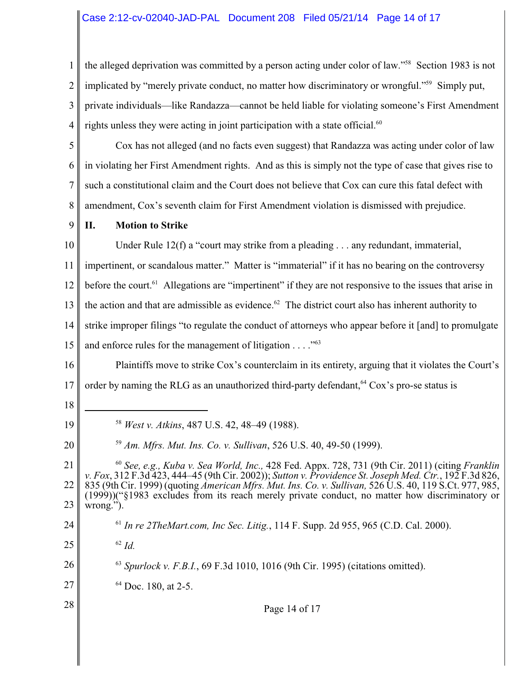# Case 2:12-cv-02040-JAD-PAL Document 208 Filed 05/21/14 Page 14 of 17

1 2 3 4 the alleged deprivation was committed by a person acting under color of law."<sup>58</sup> Section 1983 is not implicated by "merely private conduct, no matter how discriminatory or wrongful."<sup>59</sup> Simply put, private individuals—like Randazza—cannot be held liable for violating someone's First Amendment rights unless they were acting in joint participation with a state official.<sup>60</sup>

5 6 7 8 Cox has not alleged (and no facts even suggest) that Randazza was acting under color of law in violating her First Amendment rights. And as this is simply not the type of case that gives rise to such a constitutional claim and the Court does not believe that Cox can cure this fatal defect with amendment, Cox's seventh claim for First Amendment violation is dismissed with prejudice.

9

10

# **II. Motion to Strike**

Under Rule 12(f) a "court may strike from a pleading . . . any redundant, immaterial,

11 12 13 14 impertinent, or scandalous matter." Matter is "immaterial" if it has no bearing on the controversy before the court. <sup>61</sup> Allegations are "impertinent" if they are not responsive to the issues that arise in the action and that are admissible as evidence.<sup> $62$ </sup> The district court also has inherent authority to strike improper filings "to regulate the conduct of attorneys who appear before it [and] to promulgate

15 and enforce rules for the management of litigation  $\dots$ ."<sup>63</sup>

16 17 Plaintiffs move to strike Cox's counterclaim in its entirety, arguing that it violates the Court's order by naming the RLG as an unauthorized third-party defendant,  $64 \text{ Cox's pro-se status is}$ 

18

19

20

24

25

28

<sup>58</sup> *West v. Atkins*, 487 U.S. 42, 48–49 (1988).

<sup>59</sup> Am. Mfrs. Mut. Ins. Co. v. Sullivan, 526 U.S. 40, 49-50 (1999).

21 22 23 *See, e.g., Kuba v. Sea World, Inc.,* 428 Fed. Appx. 728, 731 (9th Cir. 2011) (citing *Franklin* <sup>60</sup> *v. Fox*, 312 F.3d 423, 444–45 (9th Cir. 2002)); *Sutton v. Providence St. Joseph Med. Ctr.*, 192 F.3d 826, 835 (9th Cir. 1999) (quoting *American Mfrs. Mut. Ins. Co. v. Sullivan,* 526 U.S. 40, 119 S.Ct. 977, 985, (1999))("§1983 excludes from its reach merely private conduct, no matter how discriminatory or wrong.").

- $^{61}$  In re 2TheMart.com, Inc Sec. Litig., 114 F. Supp. 2d 955, 965 (C.D. Cal. 2000).
- $^{62}$  *Id.*

26 *Spurlock v. F.B.I.*, 69 F.3d 1010, 1016 (9th Cir. 1995) (citations omitted). <sup>63</sup>

27  $64$  Doc. 180, at 2-5.

Page 14 of 17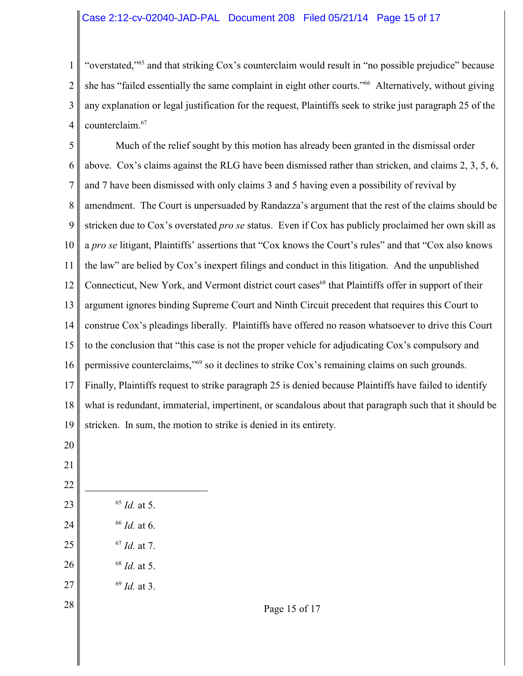### Case 2:12-cv-02040-JAD-PAL Document 208 Filed 05/21/14 Page 15 of 17

1 2 3 4 "overstated,"<sup>65</sup> and that striking Cox's counterclaim would result in "no possible prejudice" because she has "failed essentially the same complaint in eight other courts."<sup>66</sup> Alternatively, without giving any explanation or legal justification for the request, Plaintiffs seek to strike just paragraph 25 of the counterclaim.67

5 6 7 8 9 10 11 12 13 14 15 16 17 18 19 Much of the relief sought by this motion has already been granted in the dismissal order above. Cox's claims against the RLG have been dismissed rather than stricken, and claims 2, 3, 5, 6, and 7 have been dismissed with only claims 3 and 5 having even a possibility of revival by amendment. The Court is unpersuaded by Randazza's argument that the rest of the claims should be stricken due to Cox's overstated *pro se* status. Even if Cox has publicly proclaimed her own skill as a *pro se* litigant, Plaintiffs' assertions that "Cox knows the Court's rules" and that "Cox also knows the law" are belied by Cox's inexpert filings and conduct in this litigation. And the unpublished Connecticut, New York, and Vermont district court cases<sup>68</sup> that Plaintiffs offer in support of their argument ignores binding Supreme Court and Ninth Circuit precedent that requires this Court to construe Cox's pleadings liberally. Plaintiffs have offered no reason whatsoever to drive this Court to the conclusion that "this case is not the proper vehicle for adjudicating Cox's compulsory and permissive counterclaims,"<sup>69</sup> so it declines to strike Cox's remaining claims on such grounds. Finally, Plaintiffs request to strike paragraph 25 is denied because Plaintiffs have failed to identify what is redundant, immaterial, impertinent, or scandalous about that paragraph such that it should be stricken. In sum, the motion to strike is denied in its entirety.

20

- 21
- 22
- 23 24

25

26

28

- $66$  *Id.* at 6.
- $^{67}$  *Id.* at 7.

 $^{65}$  *Id.* at 5.

- <sup>68</sup> *Id.* at 5.
- 27 <sup>69</sup> *Id.* at 3.

Page 15 of 17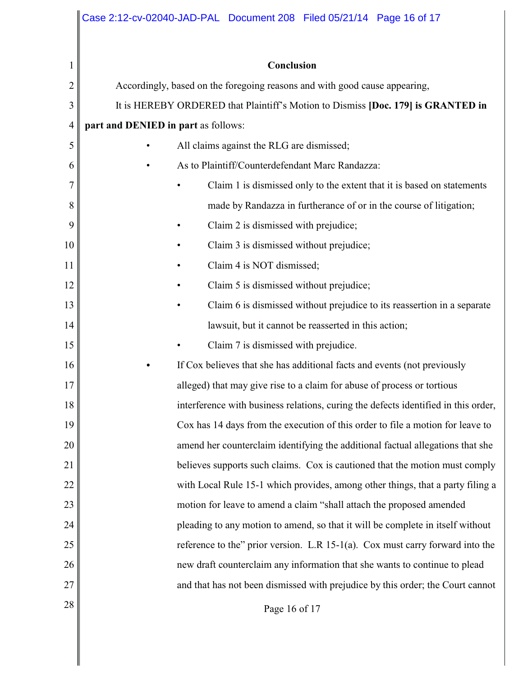| Conclusion<br>1<br>$\overline{c}$<br>Accordingly, based on the foregoing reasons and with good cause appearing,<br>3<br>It is HEREBY ORDERED that Plaintiff's Motion to Dismiss [Doc. 179] is GRANTED in<br>4<br>part and DENIED in part as follows:<br>5<br>All claims against the RLG are dismissed;<br>As to Plaintiff/Counterdefendant Marc Randazza:<br>6<br>7<br>Claim 1 is dismissed only to the extent that it is based on statements<br>8<br>made by Randazza in furtherance of or in the course of litigation;<br>9<br>Claim 2 is dismissed with prejudice;<br>Claim 3 is dismissed without prejudice;<br>10<br>Claim 4 is NOT dismissed;<br>11<br>12<br>Claim 5 is dismissed without prejudice;<br>13<br>14<br>lawsuit, but it cannot be reasserted in this action;<br>15<br>Claim 7 is dismissed with prejudice.<br>16<br>If Cox believes that she has additional facts and events (not previously<br>17<br>alleged) that may give rise to a claim for abuse of process or tortious<br>18<br>19<br>20<br>21<br>22<br>23<br>motion for leave to amend a claim "shall attach the proposed amended<br>24<br>$25\,$<br>26<br>new draft counterclaim any information that she wants to continue to plead<br>27 |  | Case 2:12-cv-02040-JAD-PAL Document 208 Filed 05/21/14 Page 16 of 17               |  |  |
|-----------------------------------------------------------------------------------------------------------------------------------------------------------------------------------------------------------------------------------------------------------------------------------------------------------------------------------------------------------------------------------------------------------------------------------------------------------------------------------------------------------------------------------------------------------------------------------------------------------------------------------------------------------------------------------------------------------------------------------------------------------------------------------------------------------------------------------------------------------------------------------------------------------------------------------------------------------------------------------------------------------------------------------------------------------------------------------------------------------------------------------------------------------------------------------------------------------------------|--|------------------------------------------------------------------------------------|--|--|
|                                                                                                                                                                                                                                                                                                                                                                                                                                                                                                                                                                                                                                                                                                                                                                                                                                                                                                                                                                                                                                                                                                                                                                                                                       |  |                                                                                    |  |  |
|                                                                                                                                                                                                                                                                                                                                                                                                                                                                                                                                                                                                                                                                                                                                                                                                                                                                                                                                                                                                                                                                                                                                                                                                                       |  |                                                                                    |  |  |
|                                                                                                                                                                                                                                                                                                                                                                                                                                                                                                                                                                                                                                                                                                                                                                                                                                                                                                                                                                                                                                                                                                                                                                                                                       |  |                                                                                    |  |  |
|                                                                                                                                                                                                                                                                                                                                                                                                                                                                                                                                                                                                                                                                                                                                                                                                                                                                                                                                                                                                                                                                                                                                                                                                                       |  |                                                                                    |  |  |
|                                                                                                                                                                                                                                                                                                                                                                                                                                                                                                                                                                                                                                                                                                                                                                                                                                                                                                                                                                                                                                                                                                                                                                                                                       |  |                                                                                    |  |  |
|                                                                                                                                                                                                                                                                                                                                                                                                                                                                                                                                                                                                                                                                                                                                                                                                                                                                                                                                                                                                                                                                                                                                                                                                                       |  |                                                                                    |  |  |
|                                                                                                                                                                                                                                                                                                                                                                                                                                                                                                                                                                                                                                                                                                                                                                                                                                                                                                                                                                                                                                                                                                                                                                                                                       |  |                                                                                    |  |  |
|                                                                                                                                                                                                                                                                                                                                                                                                                                                                                                                                                                                                                                                                                                                                                                                                                                                                                                                                                                                                                                                                                                                                                                                                                       |  |                                                                                    |  |  |
|                                                                                                                                                                                                                                                                                                                                                                                                                                                                                                                                                                                                                                                                                                                                                                                                                                                                                                                                                                                                                                                                                                                                                                                                                       |  |                                                                                    |  |  |
|                                                                                                                                                                                                                                                                                                                                                                                                                                                                                                                                                                                                                                                                                                                                                                                                                                                                                                                                                                                                                                                                                                                                                                                                                       |  |                                                                                    |  |  |
|                                                                                                                                                                                                                                                                                                                                                                                                                                                                                                                                                                                                                                                                                                                                                                                                                                                                                                                                                                                                                                                                                                                                                                                                                       |  |                                                                                    |  |  |
|                                                                                                                                                                                                                                                                                                                                                                                                                                                                                                                                                                                                                                                                                                                                                                                                                                                                                                                                                                                                                                                                                                                                                                                                                       |  |                                                                                    |  |  |
|                                                                                                                                                                                                                                                                                                                                                                                                                                                                                                                                                                                                                                                                                                                                                                                                                                                                                                                                                                                                                                                                                                                                                                                                                       |  | Claim 6 is dismissed without prejudice to its reassertion in a separate            |  |  |
|                                                                                                                                                                                                                                                                                                                                                                                                                                                                                                                                                                                                                                                                                                                                                                                                                                                                                                                                                                                                                                                                                                                                                                                                                       |  |                                                                                    |  |  |
|                                                                                                                                                                                                                                                                                                                                                                                                                                                                                                                                                                                                                                                                                                                                                                                                                                                                                                                                                                                                                                                                                                                                                                                                                       |  |                                                                                    |  |  |
|                                                                                                                                                                                                                                                                                                                                                                                                                                                                                                                                                                                                                                                                                                                                                                                                                                                                                                                                                                                                                                                                                                                                                                                                                       |  |                                                                                    |  |  |
|                                                                                                                                                                                                                                                                                                                                                                                                                                                                                                                                                                                                                                                                                                                                                                                                                                                                                                                                                                                                                                                                                                                                                                                                                       |  |                                                                                    |  |  |
|                                                                                                                                                                                                                                                                                                                                                                                                                                                                                                                                                                                                                                                                                                                                                                                                                                                                                                                                                                                                                                                                                                                                                                                                                       |  | interference with business relations, curing the defects identified in this order, |  |  |
|                                                                                                                                                                                                                                                                                                                                                                                                                                                                                                                                                                                                                                                                                                                                                                                                                                                                                                                                                                                                                                                                                                                                                                                                                       |  | Cox has 14 days from the execution of this order to file a motion for leave to     |  |  |
|                                                                                                                                                                                                                                                                                                                                                                                                                                                                                                                                                                                                                                                                                                                                                                                                                                                                                                                                                                                                                                                                                                                                                                                                                       |  | amend her counterclaim identifying the additional factual allegations that she     |  |  |
|                                                                                                                                                                                                                                                                                                                                                                                                                                                                                                                                                                                                                                                                                                                                                                                                                                                                                                                                                                                                                                                                                                                                                                                                                       |  | believes supports such claims. Cox is cautioned that the motion must comply        |  |  |
|                                                                                                                                                                                                                                                                                                                                                                                                                                                                                                                                                                                                                                                                                                                                                                                                                                                                                                                                                                                                                                                                                                                                                                                                                       |  | with Local Rule 15-1 which provides, among other things, that a party filing a     |  |  |
|                                                                                                                                                                                                                                                                                                                                                                                                                                                                                                                                                                                                                                                                                                                                                                                                                                                                                                                                                                                                                                                                                                                                                                                                                       |  |                                                                                    |  |  |
|                                                                                                                                                                                                                                                                                                                                                                                                                                                                                                                                                                                                                                                                                                                                                                                                                                                                                                                                                                                                                                                                                                                                                                                                                       |  | pleading to any motion to amend, so that it will be complete in itself without     |  |  |
|                                                                                                                                                                                                                                                                                                                                                                                                                                                                                                                                                                                                                                                                                                                                                                                                                                                                                                                                                                                                                                                                                                                                                                                                                       |  | reference to the" prior version. L.R 15-1(a). Cox must carry forward into the      |  |  |
|                                                                                                                                                                                                                                                                                                                                                                                                                                                                                                                                                                                                                                                                                                                                                                                                                                                                                                                                                                                                                                                                                                                                                                                                                       |  |                                                                                    |  |  |
|                                                                                                                                                                                                                                                                                                                                                                                                                                                                                                                                                                                                                                                                                                                                                                                                                                                                                                                                                                                                                                                                                                                                                                                                                       |  | and that has not been dismissed with prejudice by this order; the Court cannot     |  |  |
| Page 16 of 17                                                                                                                                                                                                                                                                                                                                                                                                                                                                                                                                                                                                                                                                                                                                                                                                                                                                                                                                                                                                                                                                                                                                                                                                         |  |                                                                                    |  |  |